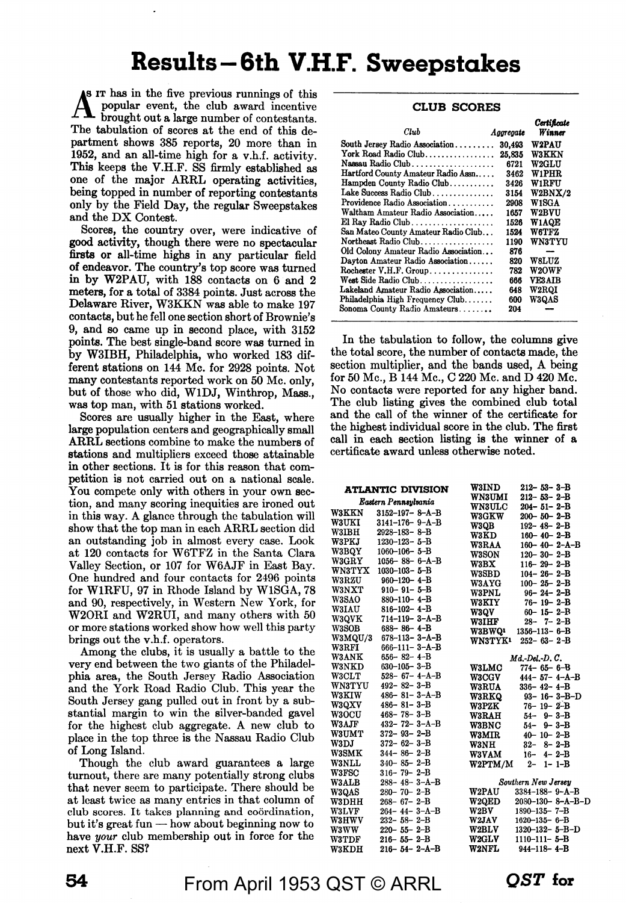# **Results-6th V.H.F. Sweepstakes**

**A\_B** IT has in the five previous runnings of this **ft** popular event, the club award incentive brought out a large number of contestants. The tabulation of scores at the end of this department shows 385 reports, 20 more than in 1952, and an all-time high for a v.h.f. activity. This keeps the V.H.F. SS firmly established as one of the major ARRL operating activities, being topped in number of reporting contestants only by the Field Day, the regular Sweepstakes and the DX Contest.

Scores, the country over, were indicative of **good** activity, though there were no spectacular firsts or all-time highs in any particular field of endeavor. The country's top score was turned in by W2PAU, with 188 contacts on 6 and 2 meters, for a total of 3384 points. Just across the Delaware River, W3KKN was able to make 197 contacts, but he fell one section short of Brownie's 9, and so came up in second place, with 3152 points. The best single-band score was turned in by W3IBH, Philadelphia, who worked 183 different stations on 144 Mc. for 2928 points. Not many contestants reported work on 50 Mc. only, but of those who did, WlDJ, Winthrop, **Mass.,**  was top man, with 51 stations worked.

Scores are usually higher in the East, where **large** population centers and geographically small **ARRL** sections combine to make the numbers of **stations** and multipliers exceed those attainable in other sections. It is for this reason that competition is not carried out on a national scale. You compete only with others in your own section, and many scoring inequities are ironed out in this way. A glance through the tabulation will show that the top man in each ARRL section did an outstanding job in almost every case. Look at 120 contacts for W6TFZ in the Santa Clara Valley Section, or 107 for W6AJF in East Bay. One hundred and four contacts for 2496 points for WlRFU, 97 in Rhode Island by WlSGA, 78 and 90, respectively, in Western New York, for W2ORI and W2RUI, and many others with 50 or more stations worked show how well this party brings out the v.h.f. operators.

Among the clubs, it is usually a battle to the very end between the two giants of the Philadelphia **area,** the South Jersey Radio Association and the York Road Radio Club. This year the South Jersey gang pulled out in front by a substantial margin to win the silver-banded gavel for the highest club aggregate. A new club to place in the top three is the Nassau Radio Club of Long Island.

Though the club award guarantees a large turnout, there are many potentially strong clubs that never seem to participate. There should be at least twice as many entries in that column of club scores. It takes planning and coordination, but it's great fun  $-$  how about beginning now to have *your* club membership out in force for the next V.H.F. SS?

| <b>CLUB SCORES</b>                    |           |                       |  |  |  |
|---------------------------------------|-----------|-----------------------|--|--|--|
| Club                                  | Aggregate | Certificate<br>Winner |  |  |  |
| South Jersey Radio Association 30,493 |           | <b>W2PAU</b>          |  |  |  |
| York Road Radio Club                  | 25.835    | <b>W3KKN</b>          |  |  |  |
| Nassau Radio Club                     | 6721      | <b>W2GLU</b>          |  |  |  |
| Hartford County Amateur Radio Assn    | 3462      | W1PHR                 |  |  |  |
| Hampden County Radio Club             | 3426      | W1RFU                 |  |  |  |
| Lake Success Radio Club               | 3154      | W2BNX/2               |  |  |  |
| Providence Radio Association          | 2908      | W1SGA                 |  |  |  |
| Waltham Amateur Radio Association     | 1657      | <b>W2BVU</b>          |  |  |  |
| El Ray Radio Club                     | 1526      | <b>W1AQE</b>          |  |  |  |
| San Mateo County Amateur Radio Club   | 1524      | W6TFZ                 |  |  |  |
| Northeast Radio Club                  | 1190      | <b>WN3TYU</b>         |  |  |  |
| Old Colony Amateur Radio Association  | 876       |                       |  |  |  |
| Dayton Amateur Radio Association      | 820       | W8LUZ                 |  |  |  |
| Rochester V.H.F. Group                | 782       | <b>W2OWF</b>          |  |  |  |
| West Side Radio Club.                 | 666       | <b>VE3AIB</b>         |  |  |  |
| Lakeland Amateur Radio Association    | 648       | <b>W2ROI</b>          |  |  |  |
| Philadelphia High Frequency Club      | 600       | <b>W3QAS</b>          |  |  |  |
| Sonoma County Radio Amateurs          | 204       |                       |  |  |  |

In the tabulation to follow, the columns give the total score, the number of contacts made, the section multiplier, and the bands used, A being for 50 Mc., B 144 Mc., C 220 Mc. and D 420 Mc. No contacts were reported for any higher band. The club listing gives the combined club total and the call of the winner of the certificate for the highest individual score in the club. The first call in each section listing is the winner of a certificate award unless otherwise noted.

|               | <b>ATLANTIC DIVISION</b> | <b>W3IND</b>   | $212 - 53 - 3 - B$       |
|---------------|--------------------------|----------------|--------------------------|
|               | Eastern Pennsylvania     | <b>WN3UMI</b>  | $212 - 53 - 2 - B$       |
|               |                          | <b>WN3ULC</b>  | $204 - 51 - 2 - B$       |
| <b>W3KKN</b>  | $3152 - 197 - 8 - A - B$ | <b>W3GKW</b>   | $200 - 50 - 2 - B$       |
| <b>W3UKI</b>  | $3141 - 176 - 9 - A - B$ | W3QB           | $192 - 48 - 2 - B$       |
| <b>W3IBH</b>  | $2928 - 183 - 8 - B$     | <b>W3KD</b>    | $160 - 40 - 2 - B$       |
| <b>W3PKJ</b>  | $1230 - 123 - 5 - B$     | <b>W3RAA</b>   | $160 - 40 - 2 - A - B$   |
| <b>W3BQY</b>  | $1060 - 106 - 5 - B$     | <b>W3SON</b>   | $120 - 30 - 2 - B$       |
| <b>W3GRY</b>  | $1056 - 88 - 6 - A - B$  | W3BX           | $116 - 29 - 2 - B$       |
| WN3TYX        | $1030 - 103 - 5 - B$     | <b>W3SBD</b>   | $104 - 26 - 2 - B$       |
| <b>W3RZU</b>  | $960 - 120 - 4 - B$      | <b>W3AYG</b>   | $100 - 25 - 2 - B$       |
| <b>W3NXT</b>  | $910 - 91 - 5 - B$       | W3PNL          | $96 - 24 - 2 - B$        |
| <b>W3SAO</b>  | $880 - 110 - 4 - B$      | <b>W3KIY</b>   | $76 - 19 - 2 - B$        |
| <b>W3IAU</b>  | $816 - 102 - 4 - B$      | W3QV           | $60 - 15 - 2 - B$        |
| W3QVK         | $714 - 119 - 3 - A - B$  | <b>W3IHF</b>   | $28 - 7 - 2 - B$         |
| W3SOB         | $688 - 86 - 4 - B$       | <b>W3BWQ1</b>  | $1356 - 113 - 6 - B$     |
| W3MQU/3       | 678–113– 3–A–B           | <b>WN3TYK1</b> | $252 - 63 - 2 - B$       |
| W3RFI         | $666 - 111 - 3 - A - B$  |                |                          |
| <b>W3ANK</b>  | $656 - 82 - 4 - B$       |                | $Md.$ -Del.-D. $C.$      |
| W3NKD         | $630 - 105 - 3 - B$      | <b>W3LMC</b>   | $774 - 65 - 6 - B$       |
| W3CLT         | $528 - 67 - 4 - A - B$   | <b>W3CGV</b>   | $444 - 57 - 4 - A - B$   |
| <b>WN3TYU</b> | $492 - 82 - 3 - B$       | <b>W3RUA</b>   | $336 - 42 - 4 - B$       |
| <b>W3KIW</b>  | $486 - 81 - 3 - A - B$   | <b>W3RKQ</b>   | $93 - 16 - 3 - B - D$    |
| <b>W3QXV</b>  | $486 - 81 - 3 - B$       | <b>W3PZK</b>   | $76 - 19 - 2 - B$        |
| <b>W3OCU</b>  | $468 - 78 - 3 - B$       | <b>W3RAH</b>   | $54 - 9 - 3 - B$         |
| W3AJF         | $432 - 72 - 3 - A - B$   | <b>W3BNC</b>   | $54 - 9 - 3 - B$         |
| <b>W3UMT</b>  | $372 - 93 - 2 - B$       | W3MIR          | $40 - 10 - 2 - B$        |
| W3DJ          | $372 - 62 - 3 - B$       | <b>W3NH</b>    | $32 - 8 - 2 - B$         |
| <b>W3SMK</b>  | $344 - 86 - 2 - B$       | <b>W3VAM</b>   | $16 - 4 - 2 - B$         |
| <b>W3NLL</b>  | $340 - 85 - 2 - B$       | W2PTM/M        | $2 - 1 - 1 - B$          |
| <b>W3FSC</b>  | $316 - 79 - 2 - B$       |                |                          |
| <b>W3ALB</b>  | $288 - 48 - 3 - A - B$   |                | Southern New Jersey      |
| <b>W3QAS</b>  | $280 - 70 - 2 - B$       | <b>W2PAU</b>   | $3384 - 188 - 9 - A - B$ |
| W3DHH         | $268 - 67 - 2 - B$       | <b>W2QED</b>   | 2080-130-8-A-B-D         |
| <b>W3LVF</b>  | $264 - 44 - 3 - A - B$   | W2BV           | $1890 - 135 - 7 - B$     |
| W3HWV         | $232 - 58 - 2 - B$       | <b>W2JAV</b>   | $1620 - 135 - 6 - B$     |
| W3 W W        | $220 - 55 - 2 - B$       | <b>W2BLV</b>   | $1320 - 132 - 5 - B - D$ |
| <b>W3TDF</b>  | $216 - 55 - 2 - B$       | <b>W2GLV</b>   | 1110-111-5-B             |
| <b>W3KDH</b>  | $216 - 54 - 2 - A - B$   | <b>W2NFL</b>   | $944 - 118 - 4 - B$      |
|               |                          |                |                          |

From April 1953 QST © ARRL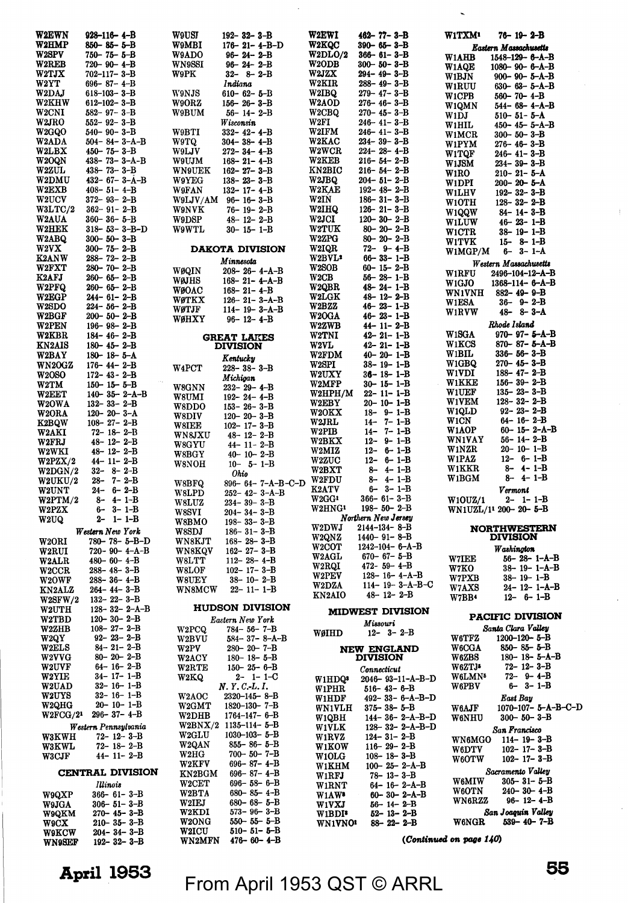| <b>W2EWN</b>           | $928 - 116 - 4 - B$                          | W9USJ                          | $192 - 32 - 3 - B$                               | W2EWI                       | 462-77-3-B                                      | <b>W1TXM'</b>              | $76 - 19 - 2 - B$                            |
|------------------------|----------------------------------------------|--------------------------------|--------------------------------------------------|-----------------------------|-------------------------------------------------|----------------------------|----------------------------------------------|
| <b>W2HMP</b>           | 850-85-5-B                                   | <b>W9MBI</b>                   | $176 - 21 - 4 - B - D$                           | <b>W2KQC</b>                | $390 - 65 - 3 - B$                              |                            | Eastern Massachusetts                        |
| W2SPV                  | $750 - 75 - 5 - B$                           | W9ADO                          | $96 - 24 - 2 - B$                                | W2DLO/2                     | $366 - 61 - 3 - B$                              | W1AHB                      | 1548-129-6-A-B                               |
| <b>W2REB</b><br>W2TJX  | $720 - 90 - 4 - B$<br>$702 - 117 - 3 - B$    | <b>WN9SSI</b><br>W9PK          | $96 - 24 - 2 - B$<br>$32 - 8 - 2 - B$            | W <sub>2</sub> ODB<br>W2JZX | $300 - 50 - 3 - B$<br>294– 49– 3–B              | <b>W1AQE</b>               | $1080 - 90 - 6 - A - B$                      |
| W2YT                   | $696 - 87 - 4 - B$                           |                                | Indiana                                          | W2KIR                       | 288-49-3-B                                      | W1BJN                      | 900-90-5-A-B                                 |
| W2DAJ                  | $618 - 103 - 3 - B$                          | W9NJS                          | $610 - 62 - 5 - B$                               | W2IBQ                       | $279 - 47 - 3 - B$                              | <b>W1RUU</b><br>W1CPB      | $630 - 63 - 5 - A - B$<br>$560 - 70 - 4 - B$ |
| W2KHW                  | $612 - 102 - 3 - B$                          | W9ORZ                          | $156 - 26 - 3 - B$                               | <b>W2AOD</b>                | 276-46-3-B                                      | W1QMN                      | $544 - 68 - 4 - A - B$                       |
| W2CNI                  | $582 - 97 - 3 - B$                           | W9BUM                          | $56 - 14 - 2 - B$                                | W <sub>2</sub> CBQ          | $270 - 45 - 3 - B$                              | W1DJ                       | $510 - 51 - 5 - A$                           |
| W2JRO                  | $552 - 92 - 3 - B$                           |                                | Wisconsin                                        | W2FI                        | $246 - 41 - 3 - B$                              | W1HIL                      | $450 - 45 - 5 - A - B$                       |
| W2GQO                  | $540 - 90 - 3 - B$                           | W9BTI                          | $332 - 42 - 4 - B$                               | <b>W2IFM</b>                | 246-41-3-B                                      | W1MCR                      | $300 - 50 - 3 - B$                           |
| <b>W2ADA</b>           | $504 - 84 - 3 - A - B$                       | W9TQ                           | $304 - 38 - 4 - B$                               | <b>W2KAC</b>                | $234 - 39 - 3 - B$                              | W1PYM                      | $276 - 46 - 3 - B$                           |
| <b>W2LBX</b><br>W2OQN  | $450 - 75 - 3 - B$<br>$438 - 73 - 3 - A - B$ | <b>W9LJV</b>                   | $272 - 34 - 4 - B$<br>$168 - 21 - 4 - B$         | W2WCR<br><b>W2KEB</b>       | 224- 28- 4-B<br>$216 - 54 - 2 - B$              | W1TQF                      | $246 - 41 - 3 - B$                           |
| W2ZUL                  | $438 - 73 - 3 - B$                           | W9UJM<br><b>WN9UEK</b>         | $162 - 27 - 3 - B$                               | KN2BIC                      | $216 - 54 - 2 - B$                              | W1JSM                      | $234 - 39 - 3 - B$                           |
| <b>W2DMU</b>           | $432 - 67 - 3 - A - B$                       | W9YEG                          | $138 - 23 - 3 - B$                               | W2JBQ                       | $204 - 51 - 2 - B$                              | W1RO                       | $210 - 21 - 5 - A$<br>$200 - 20 - 5 - A$     |
| <b>W2EXB</b>           | $408 - 51 - 4 - B$                           | <b>W9FAN</b>                   | $132 - 17 - 4 - B$                               | <b>W2KAE</b>                | $192 - 48 - 2 - B$                              | W1DPI<br>W1LHV             | $192 - 32 - 3 - B$                           |
| <b>W2UCV</b>           | $372 - 93 - 2 - B$                           | W9LJV/AM                       | $96 - 16 - 3 - B$                                | W2IN                        | $186 - 31 - 3 - B$                              | W1OTH                      | $128 - 32 - 2 - B$                           |
| W3LTC/2                | $362 - 91 - 2 - B$                           | <b>W9NVK</b>                   | 76– 19– 2–B                                      | W2IHQ                       | $126 - 21 - 3 - B$                              | W1QQW                      | $84 - 14 - 3 - B$                            |
| <b>W2AUA</b>           | $360 - 36 - 5 - B$                           | <b>W9DSP</b>                   | $48 - 12 - 2 - B$                                | W2JCI                       | $120 - 30 - 2 - B$                              | WILUW                      | 46-23-1-B                                    |
| <b>W2HEK</b>           | $318 - 53 - 3 - B - D$                       | <b>W9WTL</b>                   | $30 - 15 - 1 - B$                                | <b>W2TUK</b>                | $80 - 20 - 2 - B$                               | <b>W1CTR</b>               | $38 - 19 - 1 - B$                            |
| <b>W2ABQ</b>           | $300 - 50 - 3 - B$                           |                                |                                                  | W2ZPG                       | $80 - 20 - 2 - B$                               | W1TVK                      | $15 - 8 - 1 - B$                             |
| W2VX<br><b>K2ANW</b>   | $300 - 75 - 2 - B$<br>$288 - 72 - 2 - B$     |                                | <b>DAKOTA DIVISION</b>                           | W2IQR<br>W2BVL <sup>2</sup> | $72 - 9 - 4 - B$<br>$66 - 33 - 1 - B$           | W1MGP/M                    | $6 - 3 - 1 - A$                              |
| W2FXT                  | $280 - 70 - 2 - B$                           |                                | Minnesota                                        | W2SOB                       | $60 - 15 - 2 - B$                               |                            | Western Massachusetts                        |
| K2AFJ                  | $260 - 65 - 2 - B$                           | WØQIN<br>WØJHS                 | $208 - 26 - 4 - A - B$<br>$168 - 21 - 4 - A - B$ | W2CB                        | $56 - 28 - 1 - B$                               | <b>W1RFU</b>               | 2496-104-12-A-B                              |
| W2PFQ                  | 260- 65- 2-B                                 | <b>WØOAC</b>                   | $168 - 21 - 4 - B$                               | W2QBR                       | $48 - 24 - 1 - B$                               | W1GJO                      | 1368-114- 6-A-B                              |
| <b>W2EGP</b>           | 244- 61- 2-B                                 | WØTKX                          | $126 - 21 - 3 - A - B$                           | <b>W2LGK</b>                | $48 - 12 - 2 - B$                               | <b>WN1VNH</b><br>W1ESA     | $882 - 49 - 9 - B$<br>$36 - 9 - 2 - B$       |
| <b>W2SDO</b>           | 224-56-2-B                                   | WØTJF                          | $114 - 19 - 3 - A - B$                           | W2BZZ                       | $46 - 23 - 1 - B$                               | W1RVW                      | $48 - 8 - 3 - A$                             |
| <b>W2BGF</b>           | 200- 50- 2-B                                 | WØHXY                          | $96 - 12 - 4 - B$                                | W2OGA                       | $46 - 23 - 1 - B$                               |                            |                                              |
| <b>W2PEN</b>           | $196 - 98 - 2 - B$                           |                                |                                                  | <b>W2ZWB</b>                | 44-11-2-B                                       | W1SGA                      | Rhode Island<br>$970 - 97 - 5 - A - B$       |
| W2KBR                  | $184 - 46 - 2 - B$                           |                                | <b>GREAT LAKES</b>                               | W2TNI                       | $42 - 21 - 1 - B$<br>$42 - 21 - 1 - B$          | W1KCS                      | 870-87-5-A-B                                 |
| <b>KN2AIS</b><br>W2BAY | $180 - 45 - 2 - B$<br>$180 - 18 - 5 - A$     |                                | <b>DIVISION</b>                                  | W2VL<br>W2FDM               | $40 - 20 - 1 - B$                               | W1BIL                      | $336 - 56 - 3 - B$                           |
| <b>WN2OGZ</b>          | $176 - 44 - 2 - B$                           |                                | Kentucky                                         | W2SPI                       | 38-19-1-B                                       | W1GBQ                      | $270 - 45 - 3 - B$                           |
| <b>W2OSO</b>           | $172 - 43 - 2 - B$                           | W4PCT                          | $228 - 38 - 3 - B$<br>Michigan                   | <b>W2UXY</b>                | $36 - 18 - 1 - B$                               | W1VDI                      | $188 - 47 - 2 - B$                           |
| W2TM                   | $150 - 15 - 5 - B$                           | <b>W8GNN</b>                   | 232-29-4-B                                       | W2MFP                       | 30- 15- 1-B                                     | <b>W1KKE</b>               | $156 - 39 - 2 - B$                           |
| <b>W2EET</b>           | $140 - 35 - 2 - A - B$                       | <b>W8UMI</b>                   | $192 - 24 - 4 - B$                               | W2HPH/M                     | $22 - 11 - 1 - B$                               | <b>W1UEF</b>               | $135 - 23 - 3 - B$                           |
| W2OWA                  | $132 - 33 - 2 - B$                           | <b>W8DDO</b>                   | $153 - 26 - 3 - B$                               | <b>W2EBY</b>                | $20 - 10 - 1 - B$                               | <b>W1VEM</b>               | $128 - 32 - 2 - B$                           |
| W2ORA                  | $120 - 20 - 3 - A$                           | W8DIV                          | $120 - 20 - 3 - B$                               | <b>W2OKX</b>                | $18 - 9 - 1 - B$                                | W1QLD<br>W <sub>1</sub> CN | $92 - 23 - 2 - B$<br>$64 - 16 - 2 - B$       |
| <b>K2BQW</b>           | $108 - 27 - 2 - B$                           | <b>W8IEE</b>                   | $102 - 17 - 3 - B$                               | W2JRL<br>W2PIB              | $14 - 7 - 1 - B$<br>$14 - 7 - 1 - B$            | <b>W1AOP</b>               | 60- 15- 2-A-B                                |
| <b>W2AKI</b><br>W2FRJ  | $72 - 18 - 2 - B$<br>$48 - 12 - 2 - B$       | <b>WN8JXU</b>                  | $48 - 12 - 2 - B$                                | <b>W2BKX</b>                | $12 - 9 - 1 - B$                                | <b>WN1VAY</b>              | $56 - 14 - 2 - B$                            |
| <b>W2WKI</b>           | $48 - 12 - 2 - B$                            | <b>W8GYU</b>                   | 44-11-2-B                                        | W2MIZ                       | $12 - 6 - 1 - B$                                | W1NZR                      | $20 - 10 - 1 - B$                            |
| W2PZX/2                | 44- 11- 2-B                                  | <b>W8BGY</b><br><b>W8NOH</b>   | $40 - 10 - 2 - B$<br>$10 - 5 - 1 - B$            | <b>W2ZUC</b>                | $12 - 6 - 1 - B$                                | W1PAZ                      | $12 - 6 - 1 - B$                             |
| W2DGN/2                | $32 - 8 - 2 - B$                             |                                | Ohio                                             | <b>W2BXT</b>                | $8 - 4 - 1 - B$                                 | <b>W1KKR</b>               | $8 - 4 - 1 - B$                              |
| <b>W2UKU/2</b>         | $28 - 7 - 2 - B$                             | <b>W8BFQ</b>                   | 896- 64- 7-A-B-C-D                               | <b>W2FDU</b>                | $8 - 4 - 1 - B$                                 | W1BGM                      | $8 - 4 - 1 - B$                              |
| <b>W2UNT</b>           | $24 - 6 - 2 - B$                             | W8LPD                          | $252 - 42 - 3 - A - B$                           | <b>K2ATV</b>                | $6 - 3 - 1 - B$                                 |                            | Vermont                                      |
| W2PTM/2                | $4 - 1 - B$<br>8-                            | <b>W8LUZ</b>                   | $234 - 39 - 3 - B$                               | W2GG1                       | $366 - 61 - 3 - B$                              | W10UZ/1                    | $2 - 1 - 1 - B$                              |
| <b>W2PZX</b>           | $3 - 1 - B$<br>$6-$                          | <b>W8SVI</b>                   | $204 - 34 - 3 - B$                               | W2HNG1                      | $198 - 50 - 2 - B$<br>Northern New Jersey       |                            | WN1UZL/11 200-20-5-B                         |
| W2UQ                   | $2 - 1 - 1 - B$                              | W8BMO                          | $198 - 33 - 3 - B$                               | W2DWJ                       | $2144 - 134 - 8 - B$                            |                            | <b>NORTHWESTERN</b>                          |
|                        | Western New York                             | <b>W8SDJ</b>                   | $186 - 31 - 3 - B$                               | W2QNZ                       | $1440 - 91 - 8 - B$                             |                            | <b>DIVISION</b>                              |
| W2ORI<br><b>W2RUI</b>  | 780-78-5-B-D<br>$720 - 90 - 4 - A - B$       | <b>WN8KJT</b><br><b>WN8KQV</b> | $168 - 28 - 3 - B$<br>$162 - 27 - 3 - B$         | <b>W2COT</b>                | $1242 - 104 - 6 - A - B$                        |                            | Washington                                   |
| <b>W2ALR</b>           | $480 - 60 - 4 - B$                           | W8LTT                          | $112 - 28 - 4 - B$                               | W2AGL                       | $670 - 67 - 5 - B$                              | <b>W7IEE</b>               | 56– 28– 1–A–B                                |
| W2CCR                  | $288 - 48 - 3 - B$                           | W8LOF                          | $102 - 17 - 3 - B$                               | <b>W2RQI</b>                | $472 - 59 - 4 - B$                              | W7KO                       | 38-- 19-- 1-A-B                              |
| <b>W2OWF</b>           | $288 - 36 - 4 - B$                           | <b>W8UEY</b>                   | $38 - 10 - 2 - B$                                | <b>W2PEV</b>                | $128 - 16 - 4 - A - B$                          | <b>W7PXB</b>               | 38– 19– 1–B                                  |
| KN2ALZ                 | $264 - 44 - 3 - B$                           | WN8MCW                         | $22 - 11 - 1 - B$                                | W2DZA                       | $114 - 19 - 3 - A - B - C$<br>$48 - 12 - 2 - B$ | <b>W7AXS</b>               | 24-12-1-A-B                                  |
| W2SFW/2                | $132 - 22 - 3 - B$                           |                                |                                                  | <b>KN2AIO</b>               |                                                 | W7BB+                      | $12 - 6 - 1 - B$                             |
| <b>W2UTH</b>           | $128 - 32 - 2 - A - B$                       |                                | <b>HUDSON DIVISION</b>                           |                             | <b>MIDWEST DIVISION</b>                         |                            | <b>PACIFIC DIVISION</b>                      |
| W2TBD                  |                                              |                                |                                                  |                             |                                                 |                            |                                              |
| W2ZHB<br>W2QY          | $120 - 30 - 2 - B$                           |                                | Eastern New York                                 |                             | Missouri                                        |                            |                                              |
|                        | $108 - 27 - 2 - B$                           | W2PCQ                          | 784- 56- 7-B                                     | WØIHD                       | $12 - 3 - 2 - B$                                |                            | Santa Clara Valley                           |
|                        | $92 - 23 - 2 - B$                            | W2BVU                          | $584 - 37 - 8 - A - B$                           |                             |                                                 | W6TFZ                      | $1200 - 120 - 5 - B$                         |
| <b>W2ELS</b>           | $84 - 21 - 2 - B$<br>$80 - 20 - 2 - B$       | W2PV                           | $280 - 20 - 7 - B$                               |                             | <b>NEW ENGLAND</b>                              | W6CGA                      | $850 - 85 - 5 - B$<br>$180 - 18 - 5 - A - B$ |
| W2VVG<br><b>W2UVF</b>  | $64 - 16 - 2 - B$                            | <b>W2ACY</b><br>W2RTE          | $180 - 18 - 5 - B$<br>$150 - 25 - 6 - B$         |                             | <b>DIVISION</b>                                 | W6ZBS<br>W6ZTJ*            | $72 - 12 - 3 - B$                            |
| W2YIE                  | $34 - 17 - 1 - B$                            | W2KQ                           | $2 - 1 - 1 - C$                                  |                             | Connecticut<br>2046-93-11-A-B-D                 | <b>W6LMN*</b>              | $72 - 9 - 4 - B$                             |
| W2UAD                  | $32 - 16 - 1 - B$                            |                                | N.Y.C.L.I.                                       | W1HDQ*<br>W1PHR             | $516 - 43 - 6 - B$                              | W6PBV                      | $6 - 3 - 1 - B$                              |
| <b>W2UYS</b>           | 32- 16- 1-B                                  | W2AOC                          | $2320 - 145 - 8 - B$                             | W1HDF                       | 492-33-6-A-B-D                                  |                            | <b>East Bay</b>                              |
| W2QHG                  | $20 - 10 - 1 - B$                            | W2GMT                          | $1820 - 130 - 7 - B$                             | <b>WN1VLH</b>               | $375 - 38 - 5 - B$                              | W6AJF                      | 1070-107- 5-A-B-C-D                          |
| W2FCG/2 <sup>1</sup>   | 296-37-4-B                                   | W2DHB                          | $1764 - 147 - 6 - B$                             | W1QBH                       | $144 - 36 - 2 - A - B - D$                      | <b>W6NHU</b>               | $300 - 50 - 3 - B$                           |
|                        | Western Pennsylvania                         |                                | W2BNX/2 1135-114-5-B                             | <b>W1VLK</b>                | $128 - 32 - 2 - A - B - D$                      |                            | San Francisco                                |
| <b>W3KWH</b>           | $72 - 12 - 3 - B$                            | <b>W2GLU</b><br><b>W2QAN</b>   | $1030 - 103 - 5 - B$<br>$855 - 86 - 5 - B$       | W1RVZ                       | $124 - 31 - 2 - B$                              | WN6MGO                     | $114 - 19 - 3 - B$                           |
| <b>W3KWL</b><br>W3CJF  | $72 - 18 - 2 - B$<br>$44 - 11 - 2 - B$       | W2HG                           | $700 - 50 - 7 - B$                               | <b>W1KOW</b><br>W1OLG       | $116 - 29 - 2 - B$<br>$108 - 18 - 3 - B$        | W6DTV                      | $102 - 17 - 3 - B$                           |
|                        |                                              | W2KFV                          | $696 - 87 - 4 - B$                               | WIKHM                       | $100 - 25 - 2 - A - B$                          | W6OTW                      | $102 - 17 - 3 - B$                           |
|                        | <b>CENTRAL DIVISION</b>                      | <b>KN2BGM</b>                  | $696 - 87 - 4 - B$                               | W1RFJ                       | 78- 13- 3-B                                     |                            | Sacramento Valley                            |
|                        | Illinois                                     | W2CET                          | $696 - 58 - 6 - B$                               | <b>W1RNT</b>                | $64 - 16 - 2 - A - B$                           | W6MIW                      | $305 - 31 - 5 - B$                           |
| W9QXP                  | $366 - 61 - 3 - B$                           | W2BTA                          | $680 - 85 - 4 - B$                               | W1AW*                       | $60 - 30 - 2 - A - B$                           | W6OTN<br>WN6RZZ            | $240 - 30 - 4 - B$<br>96- 12- 4-B            |
| W9JGA                  | $306 - 51 - 3 - B$                           | <b>W2IEJ</b>                   | $680 - 68 - 5 - B$<br>$573 - 96 - 3 - B$         | W1VXJ                       | $56 - 14 - 2 - B$                               |                            |                                              |
| <b>W9QKM</b>           | $270 - 45 - 3 - B$<br>$210 - 35 - 3 - B$     | <b>W2KDI</b><br>W2ONG          | $550 - 55 - 5 - B$                               | W1BDI <sup>3</sup>          | $52 - 13 - 2 - B$<br>$88 - 22 - 2 - B$          | W6NGR                      | San Joaquin Valley<br>539-40-7-B             |
| W9CX<br><b>W9KCW</b>   | $204 - 34 - 3 - B$<br>$192 - 32 - 3 - B$     | <b>W2ICU</b><br><b>WN2MFN</b>  | $510 - 51 - 5 - B$<br>$476 - 60 - 4 - B$         | <b>WN1VNO1</b>              |                                                 | (Continued on page 140)    |                                              |

## From April 1953 QST © ARRL **April 1963 55**